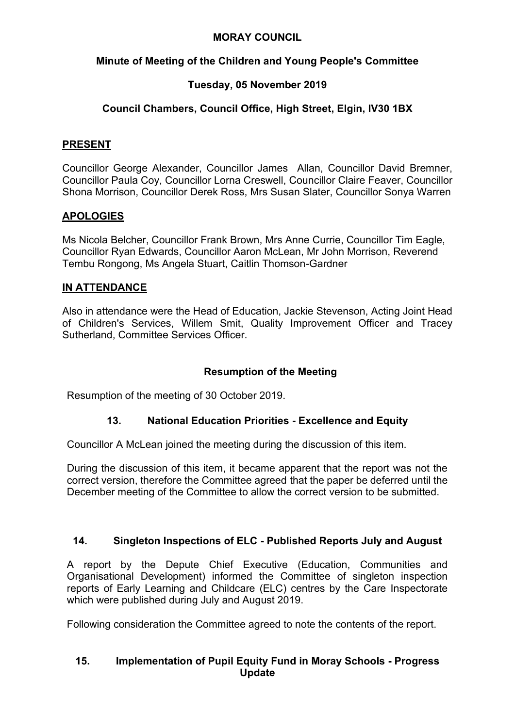#### **MORAY COUNCIL**

### **Minute of Meeting of the Children and Young People's Committee**

# **Tuesday, 05 November 2019**

## **Council Chambers, Council Office, High Street, Elgin, IV30 1BX**

#### **PRESENT**

Councillor George Alexander, Councillor James Allan, Councillor David Bremner, Councillor Paula Coy, Councillor Lorna Creswell, Councillor Claire Feaver, Councillor Shona Morrison, Councillor Derek Ross, Mrs Susan Slater, Councillor Sonya Warren

### **APOLOGIES**

Ms Nicola Belcher, Councillor Frank Brown, Mrs Anne Currie, Councillor Tim Eagle, Councillor Ryan Edwards, Councillor Aaron McLean, Mr John Morrison, Reverend Tembu Rongong, Ms Angela Stuart, Caitlin Thomson-Gardner

### **IN ATTENDANCE**

Also in attendance were the Head of Education, Jackie Stevenson, Acting Joint Head of Children's Services, Willem Smit, Quality Improvement Officer and Tracey Sutherland, Committee Services Officer.

### **Resumption of the Meeting**

Resumption of the meeting of 30 October 2019.

### **13. National Education Priorities - Excellence and Equity**

Councillor A McLean joined the meeting during the discussion of this item.

During the discussion of this item, it became apparent that the report was not the correct version, therefore the Committee agreed that the paper be deferred until the December meeting of the Committee to allow the correct version to be submitted.

### **14. Singleton Inspections of ELC - Published Reports July and August**

A report by the Depute Chief Executive (Education, Communities and Organisational Development) informed the Committee of singleton inspection reports of Early Learning and Childcare (ELC) centres by the Care Inspectorate which were published during July and August 2019.

Following consideration the Committee agreed to note the contents of the report.

#### **15. Implementation of Pupil Equity Fund in Moray Schools - Progress Update**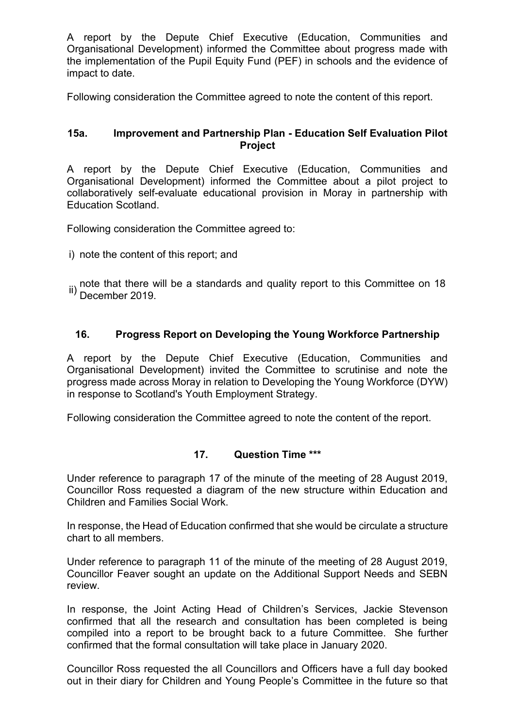A report by the Depute Chief Executive (Education, Communities and Organisational Development) informed the Committee about progress made with the implementation of the Pupil Equity Fund (PEF) in schools and the evidence of impact to date.

Following consideration the Committee agreed to note the content of this report.

#### **15a. Improvement and Partnership Plan - Education Self Evaluation Pilot Project**

A report by the Depute Chief Executive (Education, Communities and Organisational Development) informed the Committee about a pilot project to collaboratively self-evaluate educational provision in Moray in partnership with Education Scotland.

Following consideration the Committee agreed to:

i) note the content of this report; and

ii) note that there will be a standards and quality report to this Committee on 18<br>II) December 2010 December 2019.

#### **16. Progress Report on Developing the Young Workforce Partnership**

A report by the Depute Chief Executive (Education, Communities and Organisational Development) invited the Committee to scrutinise and note the progress made across Moray in relation to Developing the Young Workforce (DYW) in response to Scotland's Youth Employment Strategy.

Following consideration the Committee agreed to note the content of the report.

#### **17. Question Time \*\*\***

Under reference to paragraph 17 of the minute of the meeting of 28 August 2019, Councillor Ross requested a diagram of the new structure within Education and Children and Families Social Work.

In response, the Head of Education confirmed that she would be circulate a structure chart to all members.

Under reference to paragraph 11 of the minute of the meeting of 28 August 2019, Councillor Feaver sought an update on the Additional Support Needs and SEBN review.

In response, the Joint Acting Head of Children's Services, Jackie Stevenson confirmed that all the research and consultation has been completed is being compiled into a report to be brought back to a future Committee. She further confirmed that the formal consultation will take place in January 2020.

Councillor Ross requested the all Councillors and Officers have a full day booked out in their diary for Children and Young People's Committee in the future so that